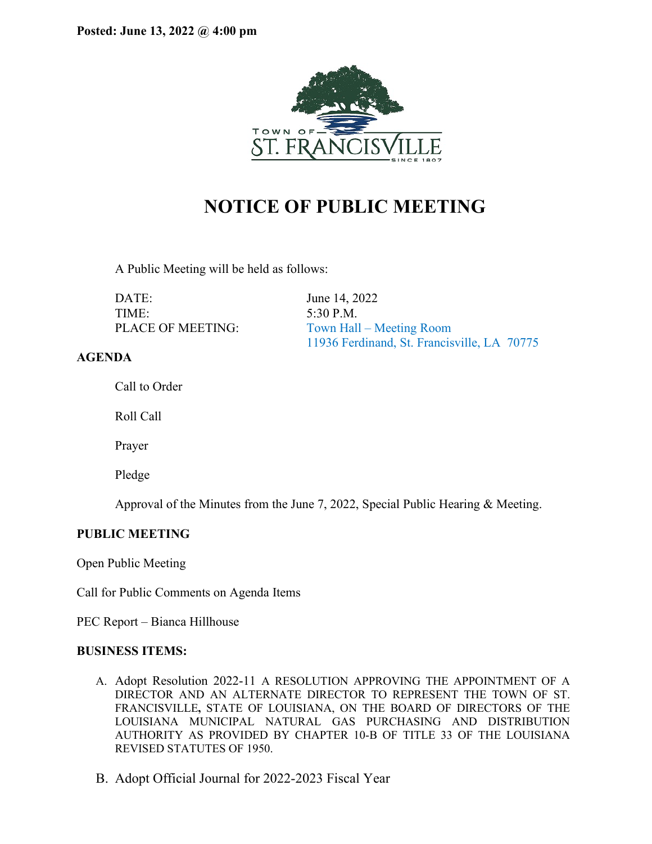

# **NOTICE OF PUBLIC MEETING**

A Public Meeting will be held as follows:

DATE: June 14, 2022 TIME: 5:30 P.M.

PLACE OF MEETING: Town Hall – Meeting Room 11936 Ferdinand, St. Francisville, LA 70775

# **AGENDA**

Call to Order

Roll Call

Prayer

Pledge

Approval of the Minutes from the June 7, 2022, Special Public Hearing & Meeting.

# **PUBLIC MEETING**

Open Public Meeting

Call for Public Comments on Agenda Items

PEC Report – Bianca Hillhouse

## **BUSINESS ITEMS:**

- A. Adopt Resolution 2022-11 A RESOLUTION APPROVING THE APPOINTMENT OF A DIRECTOR AND AN ALTERNATE DIRECTOR TO REPRESENT THE TOWN OF ST. FRANCISVILLE**,** STATE OF LOUISIANA, ON THE BOARD OF DIRECTORS OF THE LOUISIANA MUNICIPAL NATURAL GAS PURCHASING AND DISTRIBUTION AUTHORITY AS PROVIDED BY CHAPTER 10-B OF TITLE 33 OF THE LOUISIANA REVISED STATUTES OF 1950.
- B. Adopt Official Journal for 2022-2023 Fiscal Year